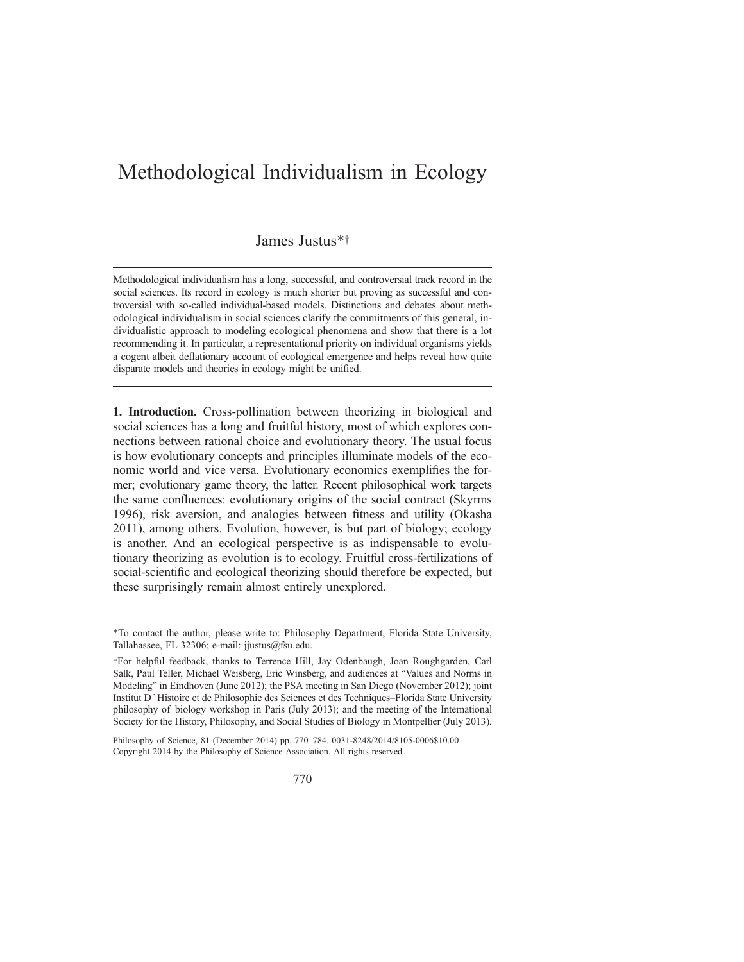# Methodological Individualism in Ecology

James Justus\*†

Methodological individualism has a long, successful, and controversial track record in the social sciences. Its record in ecology is much shorter but proving as successful and controversial with so-called individual-based models. Distinctions and debates about methodological individualism in social sciences clarify the commitments of this general, individualistic approach to modeling ecological phenomena and show that there is a lot recommending it. In particular, a representational priority on individual organisms yields a cogent albeit deflationary account of ecological emergence and helps reveal how quite disparate models and theories in ecology might be unified.

1. Introduction. Cross-pollination between theorizing in biological and social sciences has a long and fruitful history, most of which explores connections between rational choice and evolutionary theory. The usual focus is how evolutionary concepts and principles illuminate models of the economic world and vice versa. Evolutionary economics exemplifies the former; evolutionary game theory, the latter. Recent philosophical work targets the same confluences: evolutionary origins of the social contract (Skyrms 1996), risk aversion, and analogies between fitness and utility (Okasha 2011), among others. Evolution, however, is but part of biology; ecology is another. And an ecological perspective is as indispensable to evolutionary theorizing as evolution is to ecology. Fruitful cross-fertilizations of social-scientific and ecological theorizing should therefore be expected, but these surprisingly remain almost entirely unexplored.

<sup>\*</sup>To contact the author, please write to: Philosophy Department, Florida State University, Tallahassee, FL 32306; e-mail: jjustus@fsu.edu.

yFor helpful feedback, thanks to Terrence Hill, Jay Odenbaugh, Joan Roughgarden, Carl Salk, Paul Teller, Michael Weisberg, Eric Winsberg, and audiences at "Values and Norms in Modeling" in Eindhoven (June 2012); the PSA meeting in San Diego (November 2012); joint Institut D'Histoire et de Philosophie des Sciences et des Techniques–Florida State University philosophy of biology workshop in Paris (July 2013); and the meeting of the International Society for the History, Philosophy, and Social Studies of Biology in Montpellier (July 2013).

Philosophy of Science, 81 (December 2014) pp. 770–784. 0031-8248/2014/8105-0006\$10.00 Copyright 2014 by the Philosophy of Science Association. All rights reserved.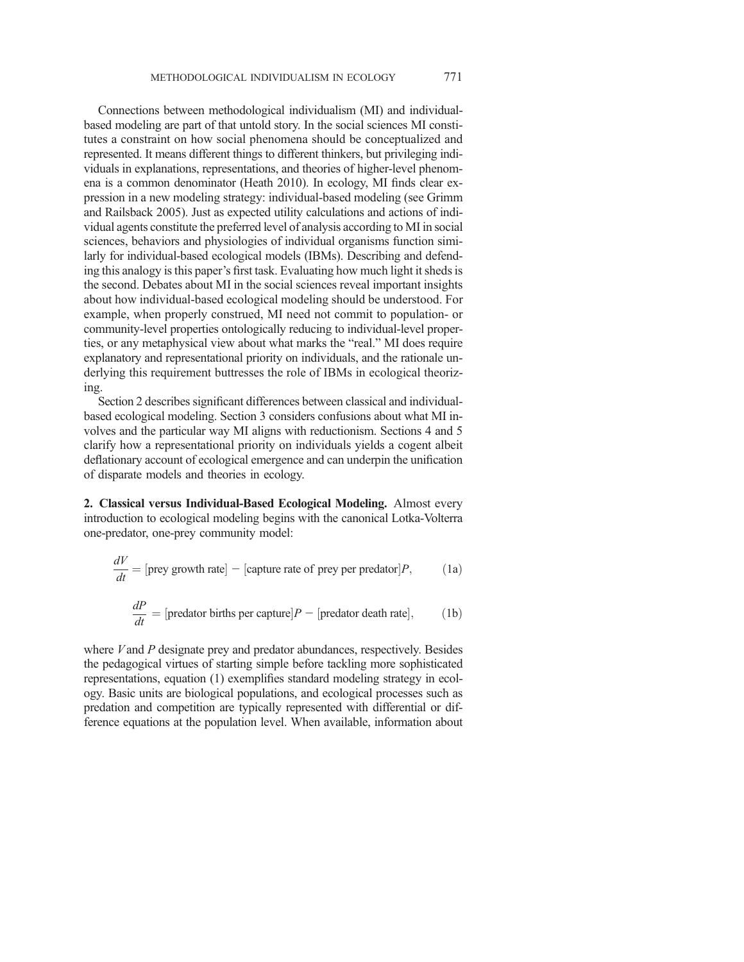Connections between methodological individualism (MI) and individualbased modeling are part of that untold story. In the social sciences MI constitutes a constraint on how social phenomena should be conceptualized and represented. It means different things to different thinkers, but privileging individuals in explanations, representations, and theories of higher-level phenomena is a common denominator (Heath 2010). In ecology, MI finds clear expression in a new modeling strategy: individual-based modeling (see Grimm and Railsback 2005). Just as expected utility calculations and actions of individual agents constitute the preferred level of analysis according to MI in social sciences, behaviors and physiologies of individual organisms function similarly for individual-based ecological models (IBMs). Describing and defending this analogy is this paper's first task. Evaluating how much light it sheds is the second. Debates about MI in the social sciences reveal important insights about how individual-based ecological modeling should be understood. For example, when properly construed, MI need not commit to population- or community-level properties ontologically reducing to individual-level properties, or any metaphysical view about what marks the "real." MI does require explanatory and representational priority on individuals, and the rationale underlying this requirement buttresses the role of IBMs in ecological theorizing.

Section 2 describes significant differences between classical and individualbased ecological modeling. Section 3 considers confusions about what MI involves and the particular way MI aligns with reductionism. Sections 4 and 5 clarify how a representational priority on individuals yields a cogent albeit deflationary account of ecological emergence and can underpin the unification of disparate models and theories in ecology.

2. Classical versus Individual-Based Ecological Modeling. Almost every introduction to ecological modeling begins with the canonical Lotka-Volterra one-predator, one-prey community model:

$$
\frac{dV}{dt} = \text{[prey growth rate]} - \text{[capture rate of prey per predator]}P, \qquad (1a)
$$

$$
\frac{dP}{dt} = \text{[predator births per capture]} P - \text{[predator death rate]}, \quad (1b)
$$

where  $V$  and  $P$  designate prey and predator abundances, respectively. Besides the pedagogical virtues of starting simple before tackling more sophisticated representations, equation (1) exemplifies standard modeling strategy in ecology. Basic units are biological populations, and ecological processes such as predation and competition are typically represented with differential or difference equations at the population level. When available, information about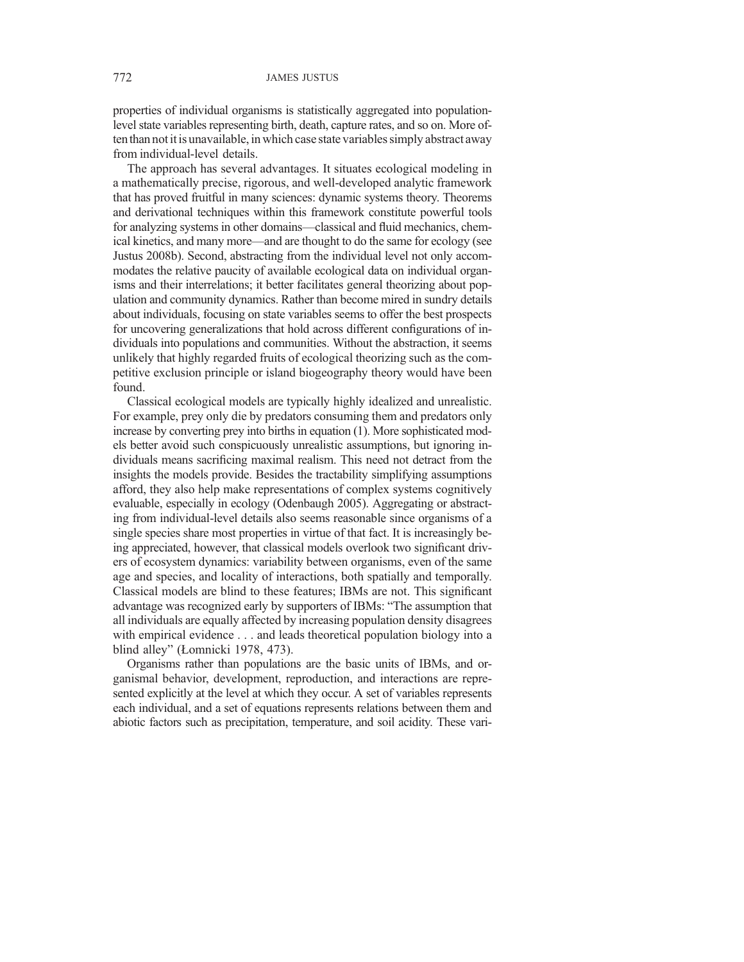properties of individual organisms is statistically aggregated into populationlevel state variables representing birth, death, capture rates, and so on. More often than not it is unavailable, in which case state variables simply abstract away from individual-level details.

The approach has several advantages. It situates ecological modeling in a mathematically precise, rigorous, and well-developed analytic framework that has proved fruitful in many sciences: dynamic systems theory. Theorems and derivational techniques within this framework constitute powerful tools for analyzing systems in other domains—classical and fluid mechanics, chemical kinetics, and many more—and are thought to do the same for ecology (see Justus 2008b). Second, abstracting from the individual level not only accommodates the relative paucity of available ecological data on individual organisms and their interrelations; it better facilitates general theorizing about population and community dynamics. Rather than become mired in sundry details about individuals, focusing on state variables seems to offer the best prospects for uncovering generalizations that hold across different configurations of individuals into populations and communities. Without the abstraction, it seems unlikely that highly regarded fruits of ecological theorizing such as the competitive exclusion principle or island biogeography theory would have been found.

Classical ecological models are typically highly idealized and unrealistic. For example, prey only die by predators consuming them and predators only increase by converting prey into births in equation (1). More sophisticated models better avoid such conspicuously unrealistic assumptions, but ignoring individuals means sacrificing maximal realism. This need not detract from the insights the models provide. Besides the tractability simplifying assumptions afford, they also help make representations of complex systems cognitively evaluable, especially in ecology (Odenbaugh 2005). Aggregating or abstracting from individual-level details also seems reasonable since organisms of a single species share most properties in virtue of that fact. It is increasingly being appreciated, however, that classical models overlook two significant drivers of ecosystem dynamics: variability between organisms, even of the same age and species, and locality of interactions, both spatially and temporally. Classical models are blind to these features; IBMs are not. This significant advantage was recognized early by supporters of IBMs: "The assumption that all individuals are equally affected by increasing population density disagrees with empirical evidence . . . and leads theoretical population biology into a blind alley" (Łomnicki 1978, 473).

Organisms rather than populations are the basic units of IBMs, and organismal behavior, development, reproduction, and interactions are represented explicitly at the level at which they occur. A set of variables represents each individual, and a set of equations represents relations between them and abiotic factors such as precipitation, temperature, and soil acidity. These vari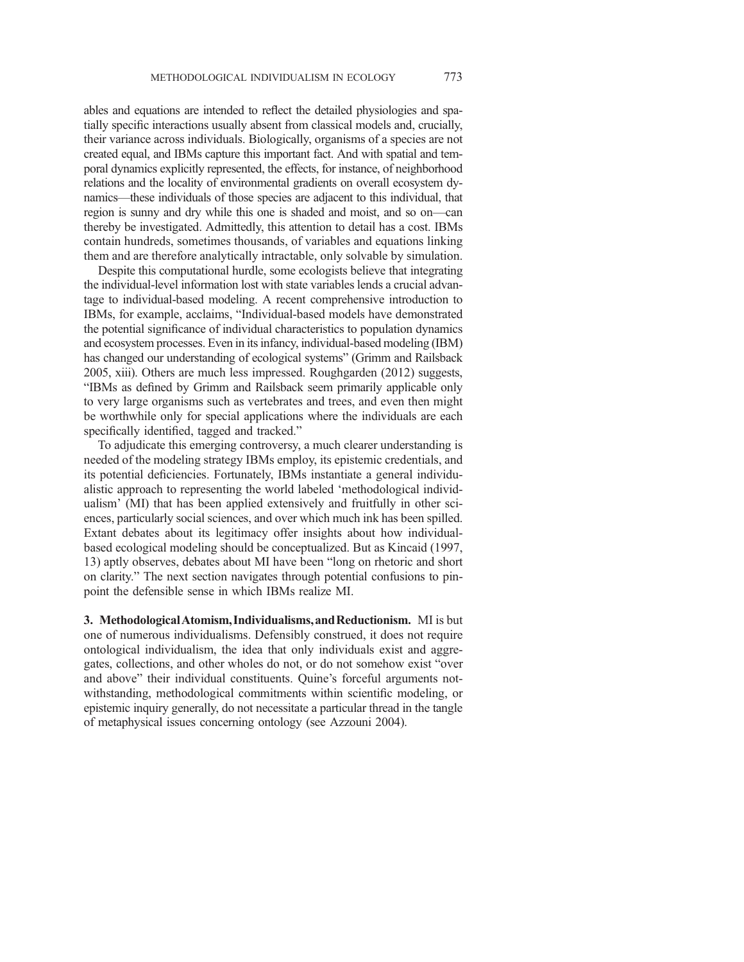ables and equations are intended to reflect the detailed physiologies and spatially specific interactions usually absent from classical models and, crucially, their variance across individuals. Biologically, organisms of a species are not created equal, and IBMs capture this important fact. And with spatial and temporal dynamics explicitly represented, the effects, for instance, of neighborhood relations and the locality of environmental gradients on overall ecosystem dynamics—these individuals of those species are adjacent to this individual, that region is sunny and dry while this one is shaded and moist, and so on—can thereby be investigated. Admittedly, this attention to detail has a cost. IBMs contain hundreds, sometimes thousands, of variables and equations linking them and are therefore analytically intractable, only solvable by simulation.

Despite this computational hurdle, some ecologists believe that integrating the individual-level information lost with state variables lends a crucial advantage to individual-based modeling. A recent comprehensive introduction to IBMs, for example, acclaims, "Individual-based models have demonstrated the potential significance of individual characteristics to population dynamics and ecosystem processes. Even in its infancy, individual-based modeling (IBM) has changed our understanding of ecological systems" (Grimm and Railsback 2005, xiii). Others are much less impressed. Roughgarden (2012) suggests, "IBMs as defined by Grimm and Railsback seem primarily applicable only to very large organisms such as vertebrates and trees, and even then might be worthwhile only for special applications where the individuals are each specifically identified, tagged and tracked."

To adjudicate this emerging controversy, a much clearer understanding is needed of the modeling strategy IBMs employ, its epistemic credentials, and its potential deficiencies. Fortunately, IBMs instantiate a general individualistic approach to representing the world labeled 'methodological individualism' (MI) that has been applied extensively and fruitfully in other sciences, particularly social sciences, and over which much ink has been spilled. Extant debates about its legitimacy offer insights about how individualbased ecological modeling should be conceptualized. But as Kincaid (1997, 13) aptly observes, debates about MI have been "long on rhetoric and short on clarity." The next section navigates through potential confusions to pinpoint the defensible sense in which IBMs realize MI.

3. Methodological Atomism, Individualisms, and Reductionism. MI is but one of numerous individualisms. Defensibly construed, it does not require ontological individualism, the idea that only individuals exist and aggregates, collections, and other wholes do not, or do not somehow exist "over and above" their individual constituents. Quine's forceful arguments notwithstanding, methodological commitments within scientific modeling, or epistemic inquiry generally, do not necessitate a particular thread in the tangle of metaphysical issues concerning ontology (see Azzouni 2004).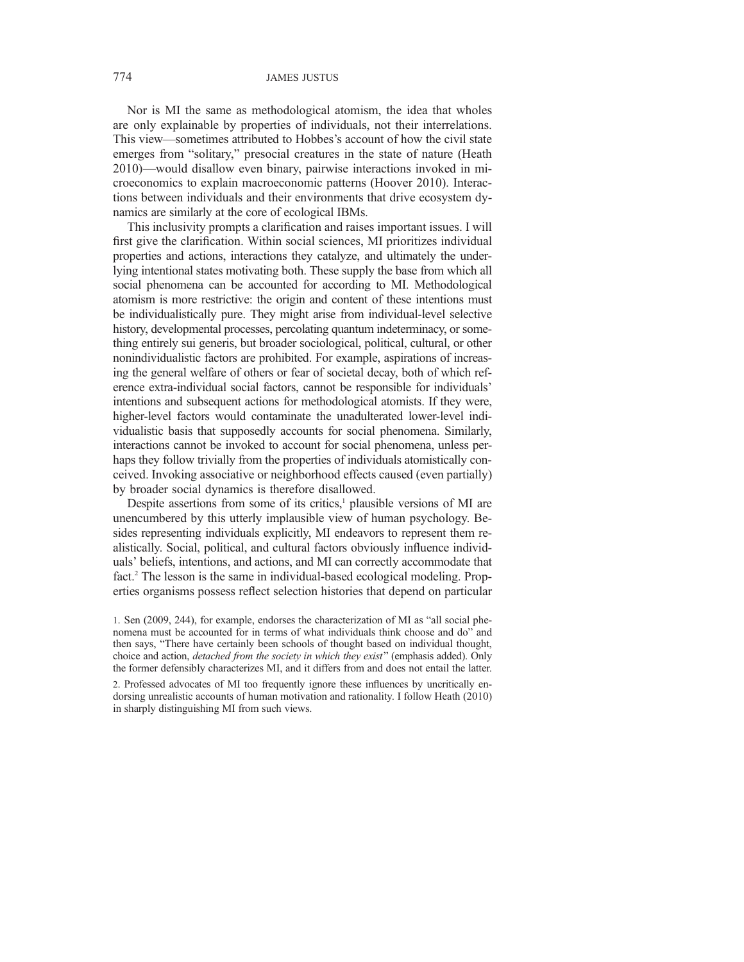Nor is MI the same as methodological atomism, the idea that wholes are only explainable by properties of individuals, not their interrelations. This view—sometimes attributed to Hobbes's account of how the civil state emerges from "solitary," presocial creatures in the state of nature (Heath 2010)—would disallow even binary, pairwise interactions invoked in microeconomics to explain macroeconomic patterns (Hoover 2010). Interactions between individuals and their environments that drive ecosystem dynamics are similarly at the core of ecological IBMs.

This inclusivity prompts a clarification and raises important issues. I will first give the clarification. Within social sciences, MI prioritizes individual properties and actions, interactions they catalyze, and ultimately the underlying intentional states motivating both. These supply the base from which all social phenomena can be accounted for according to MI. Methodological atomism is more restrictive: the origin and content of these intentions must be individualistically pure. They might arise from individual-level selective history, developmental processes, percolating quantum indeterminacy, or something entirely sui generis, but broader sociological, political, cultural, or other nonindividualistic factors are prohibited. For example, aspirations of increasing the general welfare of others or fear of societal decay, both of which reference extra-individual social factors, cannot be responsible for individuals' intentions and subsequent actions for methodological atomists. If they were, higher-level factors would contaminate the unadulterated lower-level individualistic basis that supposedly accounts for social phenomena. Similarly, interactions cannot be invoked to account for social phenomena, unless perhaps they follow trivially from the properties of individuals atomistically conceived. Invoking associative or neighborhood effects caused (even partially) by broader social dynamics is therefore disallowed.

Despite assertions from some of its critics, $\frac{1}{1}$  plausible versions of MI are unencumbered by this utterly implausible view of human psychology. Besides representing individuals explicitly, MI endeavors to represent them realistically. Social, political, and cultural factors obviously influence individuals' beliefs, intentions, and actions, and MI can correctly accommodate that fact.<sup>2</sup> The lesson is the same in individual-based ecological modeling. Properties organisms possess reflect selection histories that depend on particular

<sup>1.</sup> Sen (2009, 244), for example, endorses the characterization of MI as "all social phenomena must be accounted for in terms of what individuals think choose and do" and then says, "There have certainly been schools of thought based on individual thought, choice and action, detached from the society in which they exist" (emphasis added). Only the former defensibly characterizes MI, and it differs from and does not entail the latter.

<sup>2.</sup> Professed advocates of MI too frequently ignore these influences by uncritically endorsing unrealistic accounts of human motivation and rationality. I follow Heath (2010) in sharply distinguishing MI from such views.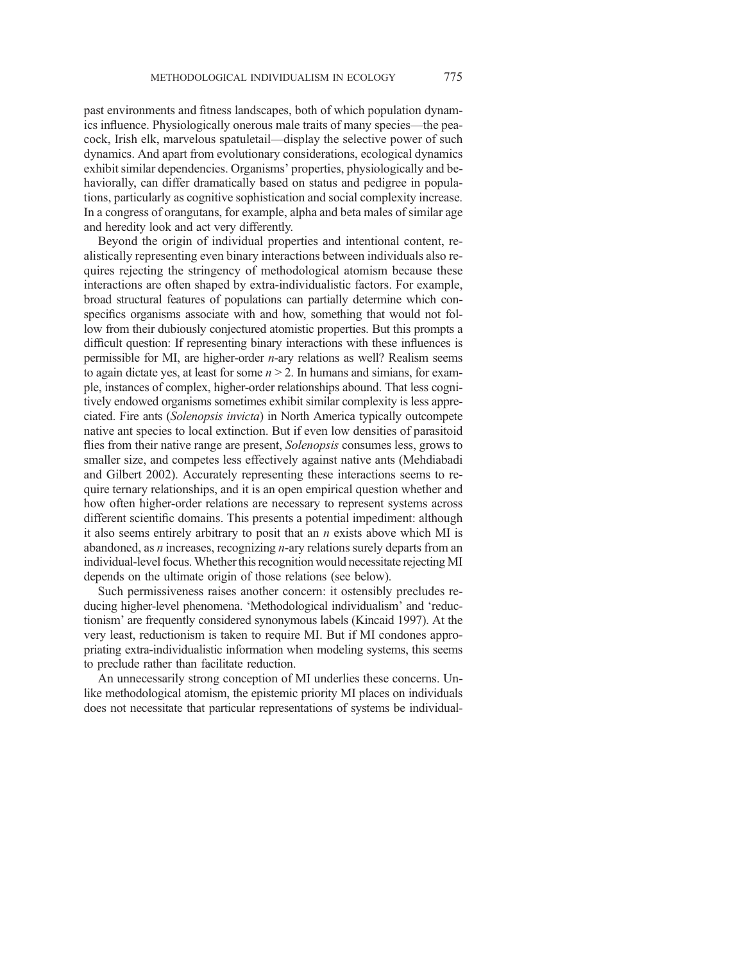past environments and fitness landscapes, both of which population dynamics influence. Physiologically onerous male traits of many species—the peacock, Irish elk, marvelous spatuletail—display the selective power of such dynamics. And apart from evolutionary considerations, ecological dynamics exhibit similar dependencies. Organisms' properties, physiologically and behaviorally, can differ dramatically based on status and pedigree in populations, particularly as cognitive sophistication and social complexity increase. In a congress of orangutans, for example, alpha and beta males of similar age and heredity look and act very differently.

Beyond the origin of individual properties and intentional content, realistically representing even binary interactions between individuals also requires rejecting the stringency of methodological atomism because these interactions are often shaped by extra-individualistic factors. For example, broad structural features of populations can partially determine which conspecifics organisms associate with and how, something that would not follow from their dubiously conjectured atomistic properties. But this prompts a difficult question: If representing binary interactions with these influences is permissible for MI, are higher-order n-ary relations as well? Realism seems to again dictate yes, at least for some  $n > 2$ . In humans and simians, for example, instances of complex, higher-order relationships abound. That less cognitively endowed organisms sometimes exhibit similar complexity is less appreciated. Fire ants (Solenopsis invicta) in North America typically outcompete native ant species to local extinction. But if even low densities of parasitoid flies from their native range are present, Solenopsis consumes less, grows to smaller size, and competes less effectively against native ants (Mehdiabadi and Gilbert 2002). Accurately representing these interactions seems to require ternary relationships, and it is an open empirical question whether and how often higher-order relations are necessary to represent systems across different scientific domains. This presents a potential impediment: although it also seems entirely arbitrary to posit that an  $n$  exists above which MI is abandoned, as  $n$  increases, recognizing  $n$ -ary relations surely departs from an individual-level focus.Whether this recognition would necessitate rejecting MI depends on the ultimate origin of those relations (see below).

Such permissiveness raises another concern: it ostensibly precludes reducing higher-level phenomena. 'Methodological individualism' and 'reductionism' are frequently considered synonymous labels (Kincaid 1997). At the very least, reductionism is taken to require MI. But if MI condones appropriating extra-individualistic information when modeling systems, this seems to preclude rather than facilitate reduction.

An unnecessarily strong conception of MI underlies these concerns. Unlike methodological atomism, the epistemic priority MI places on individuals does not necessitate that particular representations of systems be individual-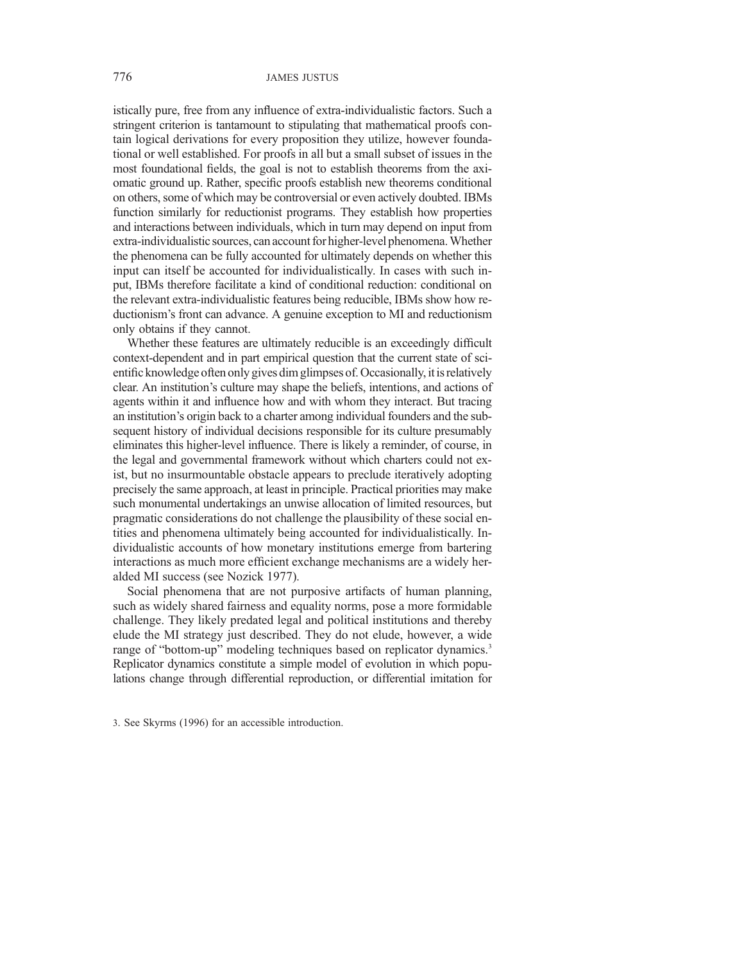istically pure, free from any influence of extra-individualistic factors. Such a stringent criterion is tantamount to stipulating that mathematical proofs contain logical derivations for every proposition they utilize, however foundational or well established. For proofs in all but a small subset of issues in the most foundational fields, the goal is not to establish theorems from the axiomatic ground up. Rather, specific proofs establish new theorems conditional on others, some of which may be controversial or even actively doubted. IBMs function similarly for reductionist programs. They establish how properties and interactions between individuals, which in turn may depend on input from extra-individualistic sources, can account for higher-level phenomena. Whether the phenomena can be fully accounted for ultimately depends on whether this input can itself be accounted for individualistically. In cases with such input, IBMs therefore facilitate a kind of conditional reduction: conditional on the relevant extra-individualistic features being reducible, IBMs show how reductionism's front can advance. A genuine exception to MI and reductionism only obtains if they cannot.

Whether these features are ultimately reducible is an exceedingly difficult context-dependent and in part empirical question that the current state of scientific knowledge often only gives dim glimpses of. Occasionally, it is relatively clear. An institution's culture may shape the beliefs, intentions, and actions of agents within it and influence how and with whom they interact. But tracing an institution's origin back to a charter among individual founders and the subsequent history of individual decisions responsible for its culture presumably eliminates this higher-level influence. There is likely a reminder, of course, in the legal and governmental framework without which charters could not exist, but no insurmountable obstacle appears to preclude iteratively adopting precisely the same approach, at least in principle. Practical priorities may make such monumental undertakings an unwise allocation of limited resources, but pragmatic considerations do not challenge the plausibility of these social entities and phenomena ultimately being accounted for individualistically. Individualistic accounts of how monetary institutions emerge from bartering interactions as much more efficient exchange mechanisms are a widely heralded MI success (see Nozick 1977).

Social phenomena that are not purposive artifacts of human planning, such as widely shared fairness and equality norms, pose a more formidable challenge. They likely predated legal and political institutions and thereby elude the MI strategy just described. They do not elude, however, a wide range of "bottom-up" modeling techniques based on replicator dynamics.<sup>3</sup> Replicator dynamics constitute a simple model of evolution in which populations change through differential reproduction, or differential imitation for

3. See Skyrms (1996) for an accessible introduction.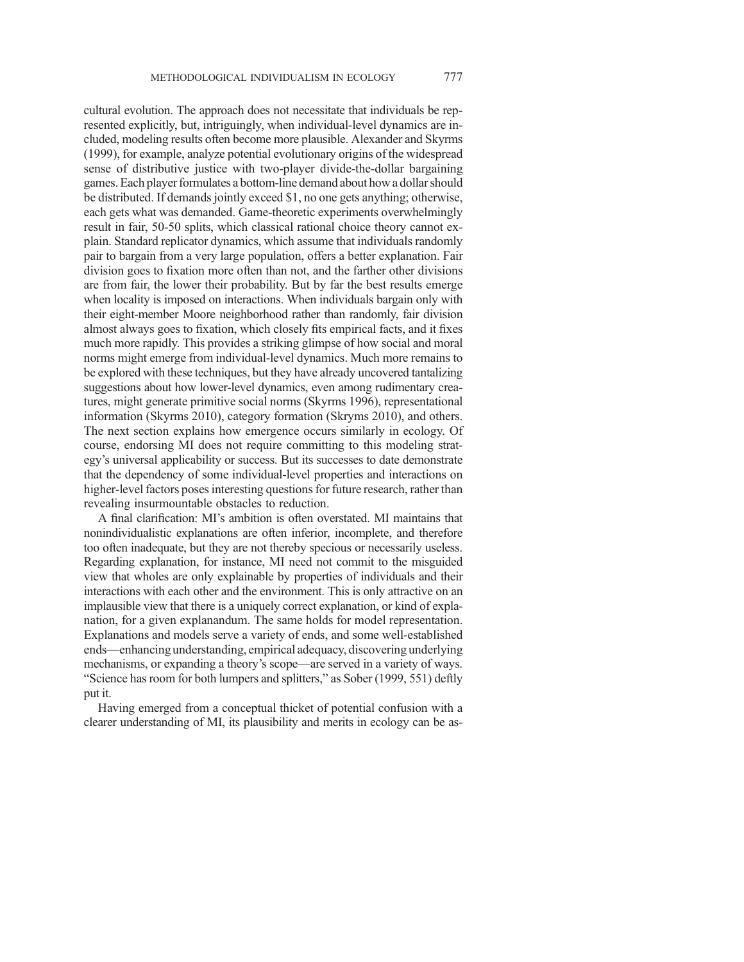cultural evolution. The approach does not necessitate that individuals be represented explicitly, but, intriguingly, when individual-level dynamics are included, modeling results often become more plausible. Alexander and Skyrms (1999), for example, analyze potential evolutionary origins of the widespread sense of distributive justice with two-player divide-the-dollar bargaining games. Each player formulates a bottom-line demand about how a dollar should be distributed. If demands jointly exceed \$1, no one gets anything; otherwise, each gets what was demanded. Game-theoretic experiments overwhelmingly result in fair, 50-50 splits, which classical rational choice theory cannot explain. Standard replicator dynamics, which assume that individuals randomly pair to bargain from a very large population, offers a better explanation. Fair division goes to fixation more often than not, and the farther other divisions are from fair, the lower their probability. But by far the best results emerge when locality is imposed on interactions. When individuals bargain only with their eight-member Moore neighborhood rather than randomly, fair division almost always goes to fixation, which closely fits empirical facts, and it fixes much more rapidly. This provides a striking glimpse of how social and moral norms might emerge from individual-level dynamics. Much more remains to be explored with these techniques, but they have already uncovered tantalizing suggestions about how lower-level dynamics, even among rudimentary creatures, might generate primitive social norms (Skyrms 1996), representational information (Skyrms 2010), category formation (Skryms 2010), and others. The next section explains how emergence occurs similarly in ecology. Of course, endorsing MI does not require committing to this modeling strategy's universal applicability or success. But its successes to date demonstrate that the dependency of some individual-level properties and interactions on higher-level factors poses interesting questions for future research, rather than revealing insurmountable obstacles to reduction.

A final clarification: MI's ambition is often overstated. MI maintains that nonindividualistic explanations are often inferior, incomplete, and therefore too often inadequate, but they are not thereby specious or necessarily useless. Regarding explanation, for instance, MI need not commit to the misguided view that wholes are only explainable by properties of individuals and their interactions with each other and the environment. This is only attractive on an implausible view that there is a uniquely correct explanation, or kind of explanation, for a given explanandum. The same holds for model representation. Explanations and models serve a variety of ends, and some well-established ends—enhancing understanding, empirical adequacy, discovering underlying mechanisms, or expanding a theory's scope—are served in a variety of ways. "Science has room for both lumpers and splitters," as Sober (1999, 551) deftly put it.

Having emerged from a conceptual thicket of potential confusion with a clearer understanding of MI, its plausibility and merits in ecology can be as-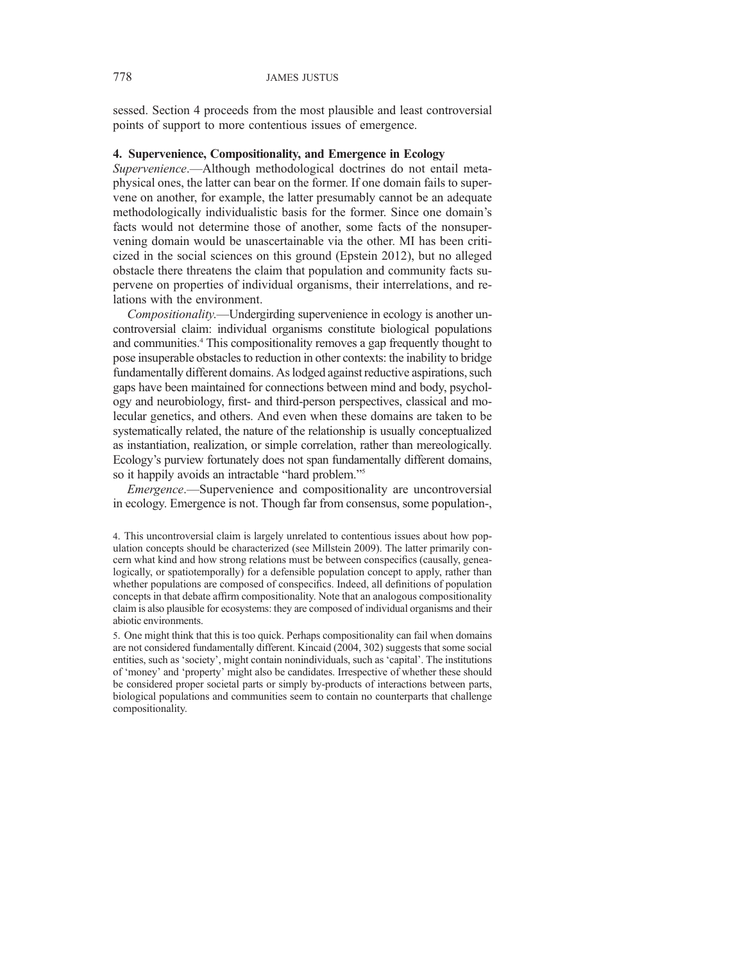sessed. Section 4 proceeds from the most plausible and least controversial points of support to more contentious issues of emergence.

### 4. Supervenience, Compositionality, and Emergence in Ecology

Supervenience.—Although methodological doctrines do not entail metaphysical ones, the latter can bear on the former. If one domain fails to supervene on another, for example, the latter presumably cannot be an adequate methodologically individualistic basis for the former. Since one domain's facts would not determine those of another, some facts of the nonsupervening domain would be unascertainable via the other. MI has been criticized in the social sciences on this ground (Epstein 2012), but no alleged obstacle there threatens the claim that population and community facts supervene on properties of individual organisms, their interrelations, and relations with the environment.

Compositionality.—Undergirding supervenience in ecology is another uncontroversial claim: individual organisms constitute biological populations and communities.<sup>4</sup> This compositionality removes a gap frequently thought to pose insuperable obstacles to reduction in other contexts: the inability to bridge fundamentally different domains. As lodged against reductive aspirations, such gaps have been maintained for connections between mind and body, psychology and neurobiology, first- and third-person perspectives, classical and molecular genetics, and others. And even when these domains are taken to be systematically related, the nature of the relationship is usually conceptualized as instantiation, realization, or simple correlation, rather than mereologically. Ecology's purview fortunately does not span fundamentally different domains, so it happily avoids an intractable "hard problem."<sup>5</sup>

Emergence.—Supervenience and compositionality are uncontroversial in ecology. Emergence is not. Though far from consensus, some population-,

5. One might think that this is too quick. Perhaps compositionality can fail when domains are not considered fundamentally different. Kincaid (2004, 302) suggests that some social entities, such as 'society', might contain nonindividuals, such as 'capital'. The institutions of 'money' and 'property' might also be candidates. Irrespective of whether these should be considered proper societal parts or simply by-products of interactions between parts, biological populations and communities seem to contain no counterparts that challenge compositionality.

<sup>4.</sup> This uncontroversial claim is largely unrelated to contentious issues about how population concepts should be characterized (see Millstein 2009). The latter primarily concern what kind and how strong relations must be between conspecifics (causally, genealogically, or spatiotemporally) for a defensible population concept to apply, rather than whether populations are composed of conspecifics. Indeed, all definitions of population concepts in that debate affirm compositionality. Note that an analogous compositionality claim is also plausible for ecosystems: they are composed of individual organisms and their abiotic environments.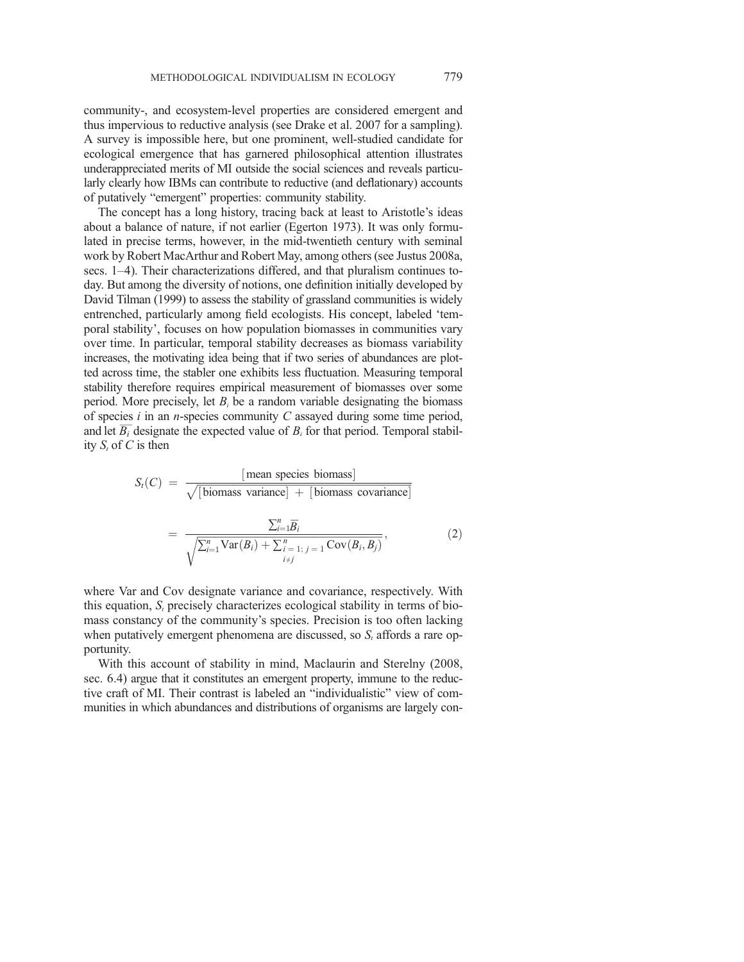community-, and ecosystem-level properties are considered emergent and thus impervious to reductive analysis (see Drake et al. 2007 for a sampling). A survey is impossible here, but one prominent, well-studied candidate for ecological emergence that has garnered philosophical attention illustrates underappreciated merits of MI outside the social sciences and reveals particularly clearly how IBMs can contribute to reductive (and deflationary) accounts of putatively "emergent" properties: community stability.

The concept has a long history, tracing back at least to Aristotle's ideas about a balance of nature, if not earlier (Egerton 1973). It was only formulated in precise terms, however, in the mid-twentieth century with seminal work by Robert MacArthur and Robert May, among others (see Justus 2008a, secs. 1–4). Their characterizations differed, and that pluralism continues today. But among the diversity of notions, one definition initially developed by David Tilman (1999) to assess the stability of grassland communities is widely entrenched, particularly among field ecologists. His concept, labeled 'temporal stability', focuses on how population biomasses in communities vary over time. In particular, temporal stability decreases as biomass variability increases, the motivating idea being that if two series of abundances are plotted across time, the stabler one exhibits less fluctuation. Measuring temporal stability therefore requires empirical measurement of biomasses over some period. More precisely, let  $B_i$  be a random variable designating the biomass of species  $i$  in an *n*-species community C assayed during some time period, and let  $\overline{B_i}$  designate the expected value of  $B_i$  for that period. Temporal stability  $S_t$  of C is then

$$
S_{t}(C) = \frac{\text{[mean species biomass]}}{\sqrt{\text{[biomass variance]}} + \text{[biomass covariance]}}
$$

$$
= \frac{\sum_{i=1}^{n} \overline{B}_{i}}{\sqrt{\sum_{i=1}^{n} \text{Var}(B_{i}) + \sum_{i=1}^{n} \sum_{j=1}^{n} \text{Cov}(B_{i}, B_{j})}},
$$
(2)

where Var and Cov designate variance and covariance, respectively. With this equation,  $S_t$  precisely characterizes ecological stability in terms of biomass constancy of the community's species. Precision is too often lacking when putatively emergent phenomena are discussed, so  $S<sub>i</sub>$  affords a rare opportunity.

With this account of stability in mind, Maclaurin and Sterelny (2008, sec. 6.4) argue that it constitutes an emergent property, immune to the reductive craft of MI. Their contrast is labeled an "individualistic" view of communities in which abundances and distributions of organisms are largely con-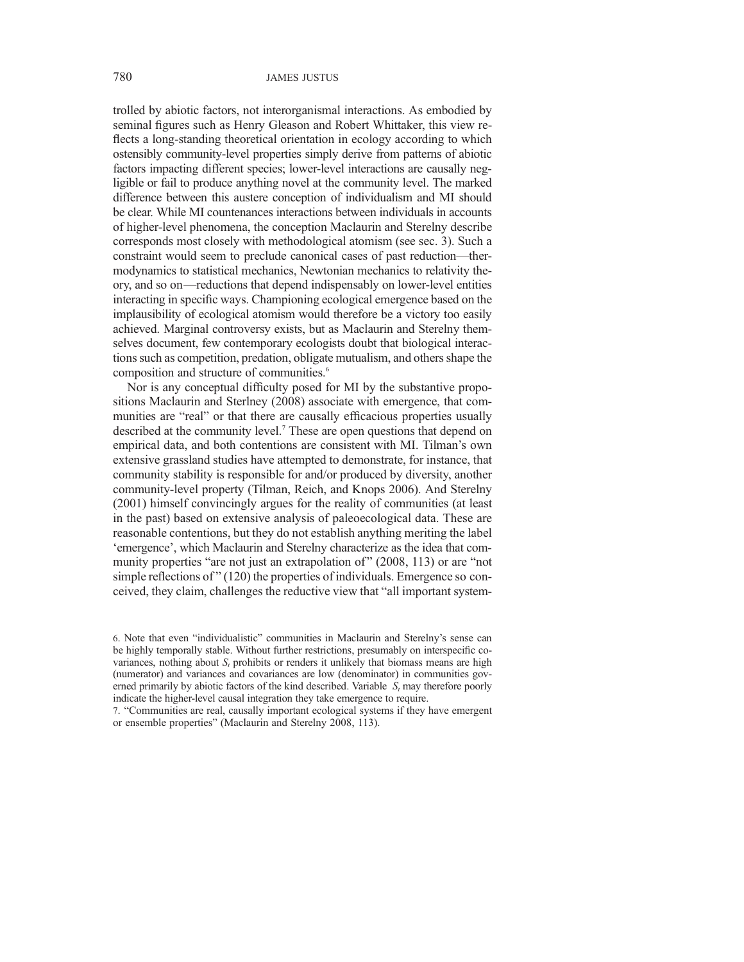trolled by abiotic factors, not interorganismal interactions. As embodied by seminal figures such as Henry Gleason and Robert Whittaker, this view reflects a long-standing theoretical orientation in ecology according to which ostensibly community-level properties simply derive from patterns of abiotic factors impacting different species; lower-level interactions are causally negligible or fail to produce anything novel at the community level. The marked difference between this austere conception of individualism and MI should be clear. While MI countenances interactions between individuals in accounts of higher-level phenomena, the conception Maclaurin and Sterelny describe corresponds most closely with methodological atomism (see sec. 3). Such a constraint would seem to preclude canonical cases of past reduction—thermodynamics to statistical mechanics, Newtonian mechanics to relativity theory, and so on—reductions that depend indispensably on lower-level entities interacting in specific ways. Championing ecological emergence based on the implausibility of ecological atomism would therefore be a victory too easily achieved. Marginal controversy exists, but as Maclaurin and Sterelny themselves document, few contemporary ecologists doubt that biological interactions such as competition, predation, obligate mutualism, and others shape the composition and structure of communities.<sup>6</sup>

Nor is any conceptual difficulty posed for MI by the substantive propositions Maclaurin and Sterlney (2008) associate with emergence, that communities are "real" or that there are causally efficacious properties usually described at the community level.<sup>7</sup> These are open questions that depend on empirical data, and both contentions are consistent with MI. Tilman's own extensive grassland studies have attempted to demonstrate, for instance, that community stability is responsible for and/or produced by diversity, another community-level property (Tilman, Reich, and Knops 2006). And Sterelny (2001) himself convincingly argues for the reality of communities (at least in the past) based on extensive analysis of paleoecological data. These are reasonable contentions, but they do not establish anything meriting the label 'emergence', which Maclaurin and Sterelny characterize as the idea that community properties "are not just an extrapolation of" (2008, 113) or are "not simple reflections of " (120) the properties of individuals. Emergence so conceived, they claim, challenges the reductive view that "all important system-

<sup>6.</sup> Note that even "individualistic" communities in Maclaurin and Sterelny's sense can be highly temporally stable. Without further restrictions, presumably on interspecific covariances, nothing about  $S_t$  prohibits or renders it unlikely that biomass means are high (numerator) and variances and covariances are low (denominator) in communities governed primarily by abiotic factors of the kind described. Variable  $S<sub>i</sub>$  may therefore poorly indicate the higher-level causal integration they take emergence to require.

<sup>7.</sup> "Communities are real, causally important ecological systems if they have emergent or ensemble properties" (Maclaurin and Sterelny 2008, 113).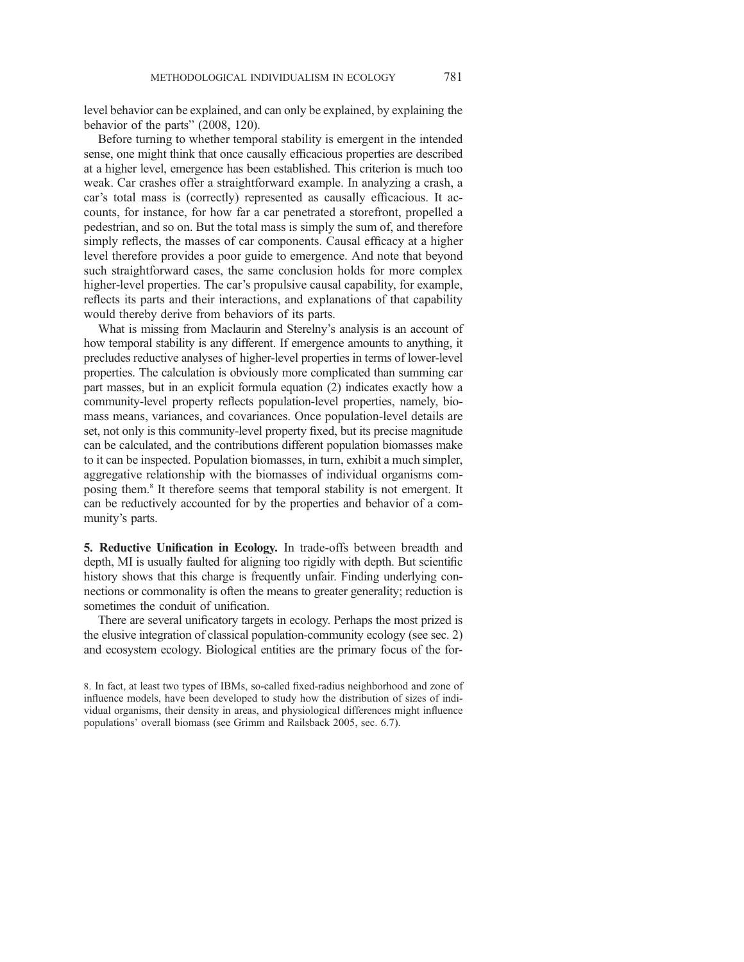level behavior can be explained, and can only be explained, by explaining the behavior of the parts" (2008, 120).

Before turning to whether temporal stability is emergent in the intended sense, one might think that once causally efficacious properties are described at a higher level, emergence has been established. This criterion is much too weak. Car crashes offer a straightforward example. In analyzing a crash, a car's total mass is (correctly) represented as causally efficacious. It accounts, for instance, for how far a car penetrated a storefront, propelled a pedestrian, and so on. But the total mass is simply the sum of, and therefore simply reflects, the masses of car components. Causal efficacy at a higher level therefore provides a poor guide to emergence. And note that beyond such straightforward cases, the same conclusion holds for more complex higher-level properties. The car's propulsive causal capability, for example, reflects its parts and their interactions, and explanations of that capability would thereby derive from behaviors of its parts.

What is missing from Maclaurin and Sterelny's analysis is an account of how temporal stability is any different. If emergence amounts to anything, it precludes reductive analyses of higher-level properties in terms of lower-level properties. The calculation is obviously more complicated than summing car part masses, but in an explicit formula equation (2) indicates exactly how a community-level property reflects population-level properties, namely, biomass means, variances, and covariances. Once population-level details are set, not only is this community-level property fixed, but its precise magnitude can be calculated, and the contributions different population biomasses make to it can be inspected. Population biomasses, in turn, exhibit a much simpler, aggregative relationship with the biomasses of individual organisms composing them.8 It therefore seems that temporal stability is not emergent. It can be reductively accounted for by the properties and behavior of a community's parts.

5. Reductive Unification in Ecology. In trade-offs between breadth and depth, MI is usually faulted for aligning too rigidly with depth. But scientific history shows that this charge is frequently unfair. Finding underlying connections or commonality is often the means to greater generality; reduction is sometimes the conduit of unification.

There are several unificatory targets in ecology. Perhaps the most prized is the elusive integration of classical population-community ecology (see sec. 2) and ecosystem ecology. Biological entities are the primary focus of the for-

<sup>8.</sup> In fact, at least two types of IBMs, so-called fixed-radius neighborhood and zone of influence models, have been developed to study how the distribution of sizes of individual organisms, their density in areas, and physiological differences might influence populations' overall biomass (see Grimm and Railsback 2005, sec. 6.7).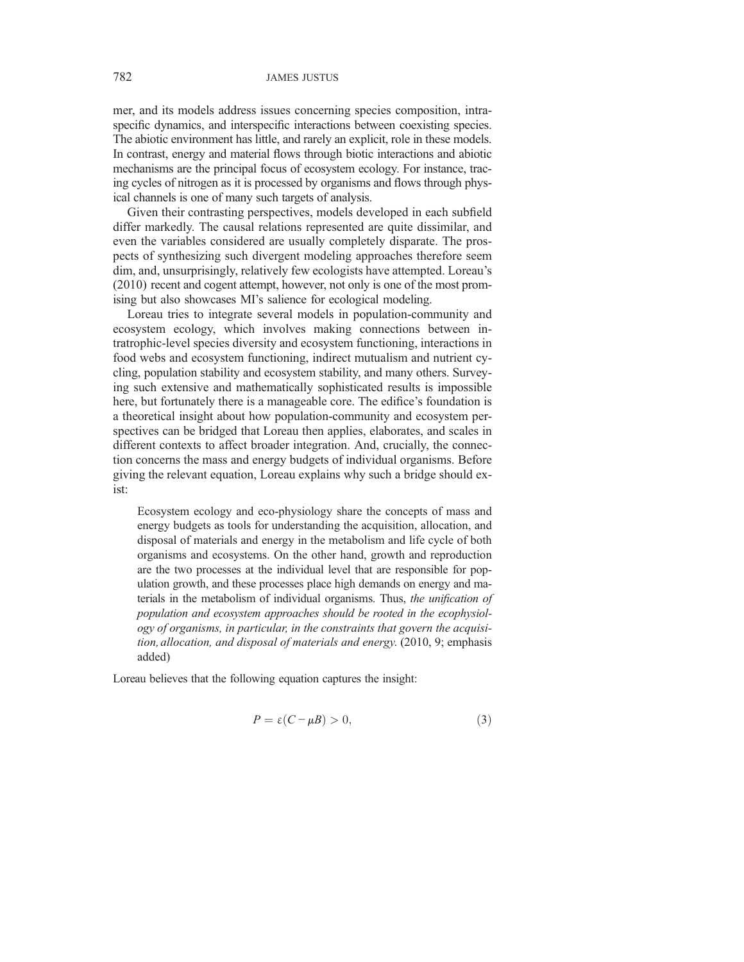## 782 JAMES JUSTUS

mer, and its models address issues concerning species composition, intraspecific dynamics, and interspecific interactions between coexisting species. The abiotic environment has little, and rarely an explicit, role in these models. In contrast, energy and material flows through biotic interactions and abiotic mechanisms are the principal focus of ecosystem ecology. For instance, tracing cycles of nitrogen as it is processed by organisms and flows through physical channels is one of many such targets of analysis.

Given their contrasting perspectives, models developed in each subfield differ markedly. The causal relations represented are quite dissimilar, and even the variables considered are usually completely disparate. The prospects of synthesizing such divergent modeling approaches therefore seem dim, and, unsurprisingly, relatively few ecologists have attempted. Loreau's (2010) recent and cogent attempt, however, not only is one of the most promising but also showcases MI's salience for ecological modeling.

Loreau tries to integrate several models in population-community and ecosystem ecology, which involves making connections between intratrophic-level species diversity and ecosystem functioning, interactions in food webs and ecosystem functioning, indirect mutualism and nutrient cycling, population stability and ecosystem stability, and many others. Surveying such extensive and mathematically sophisticated results is impossible here, but fortunately there is a manageable core. The edifice's foundation is a theoretical insight about how population-community and ecosystem perspectives can be bridged that Loreau then applies, elaborates, and scales in different contexts to affect broader integration. And, crucially, the connection concerns the mass and energy budgets of individual organisms. Before giving the relevant equation, Loreau explains why such a bridge should exist:

Ecosystem ecology and eco-physiology share the concepts of mass and energy budgets as tools for understanding the acquisition, allocation, and disposal of materials and energy in the metabolism and life cycle of both organisms and ecosystems. On the other hand, growth and reproduction are the two processes at the individual level that are responsible for population growth, and these processes place high demands on energy and materials in the metabolism of individual organisms. Thus, the unification of population and ecosystem approaches should be rooted in the ecophysiology of organisms, in particular, in the constraints that govern the acquisition, allocation, and disposal of materials and energy. (2010, 9; emphasis added)

Loreau believes that the following equation captures the insight:

$$
P = \varepsilon (C - \mu B) > 0,\t\t(3)
$$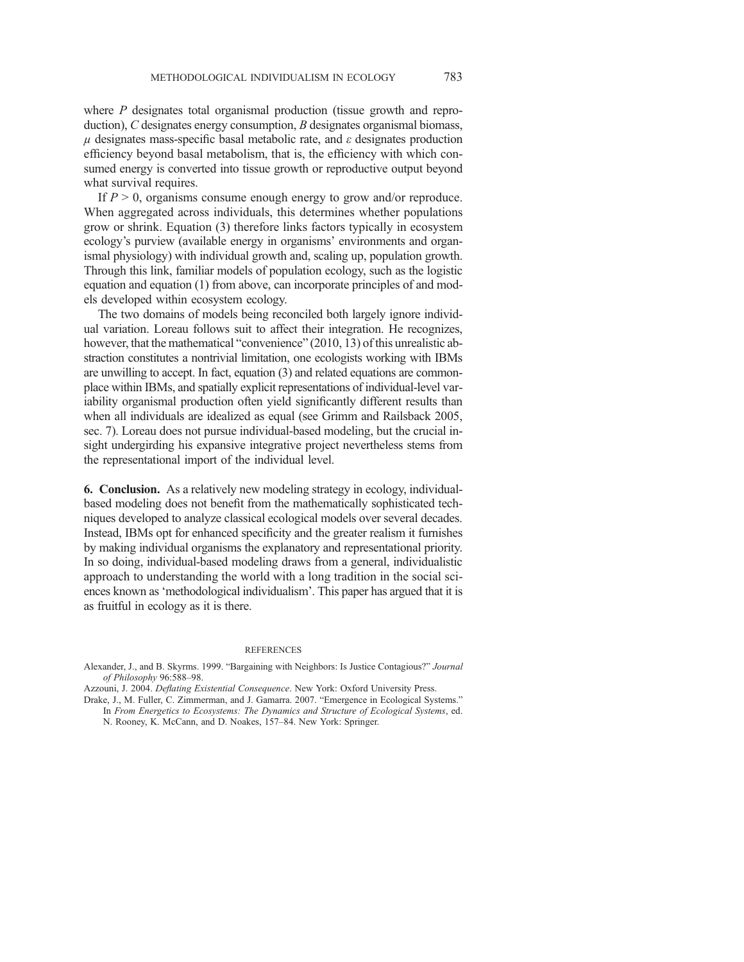where  $P$  designates total organismal production (tissue growth and reproduction), C designates energy consumption, B designates organismal biomass,  $\mu$  designates mass-specific basal metabolic rate, and  $\varepsilon$  designates production efficiency beyond basal metabolism, that is, the efficiency with which consumed energy is converted into tissue growth or reproductive output beyond what survival requires.

If  $P > 0$ , organisms consume enough energy to grow and/or reproduce. When aggregated across individuals, this determines whether populations grow or shrink. Equation (3) therefore links factors typically in ecosystem ecology's purview (available energy in organisms' environments and organismal physiology) with individual growth and, scaling up, population growth. Through this link, familiar models of population ecology, such as the logistic equation and equation (1) from above, can incorporate principles of and models developed within ecosystem ecology.

The two domains of models being reconciled both largely ignore individual variation. Loreau follows suit to affect their integration. He recognizes, however, that the mathematical "convenience" (2010, 13) of this unrealistic abstraction constitutes a nontrivial limitation, one ecologists working with IBMs are unwilling to accept. In fact, equation (3) and related equations are commonplace within IBMs, and spatially explicit representations of individual-level variability organismal production often yield significantly different results than when all individuals are idealized as equal (see Grimm and Railsback 2005, sec. 7). Loreau does not pursue individual-based modeling, but the crucial insight undergirding his expansive integrative project nevertheless stems from the representational import of the individual level.

6. Conclusion. As a relatively new modeling strategy in ecology, individualbased modeling does not benefit from the mathematically sophisticated techniques developed to analyze classical ecological models over several decades. Instead, IBMs opt for enhanced specificity and the greater realism it furnishes by making individual organisms the explanatory and representational priority. In so doing, individual-based modeling draws from a general, individualistic approach to understanding the world with a long tradition in the social sciences known as 'methodological individualism'. This paper has argued that it is as fruitful in ecology as it is there.

#### **REFERENCES**

- Alexander, J., and B. Skyrms. 1999. "Bargaining with Neighbors: Is Justice Contagious?" Journal of Philosophy 96:588–98.
- Azzouni, J. 2004. Deflating Existential Consequence. New York: Oxford University Press.

Drake, J., M. Fuller, C. Zimmerman, and J. Gamarra. 2007. "Emergence in Ecological Systems." In From Energetics to Ecosystems: The Dynamics and Structure of Ecological Systems, ed. N. Rooney, K. McCann, and D. Noakes, 157–84. New York: Springer.